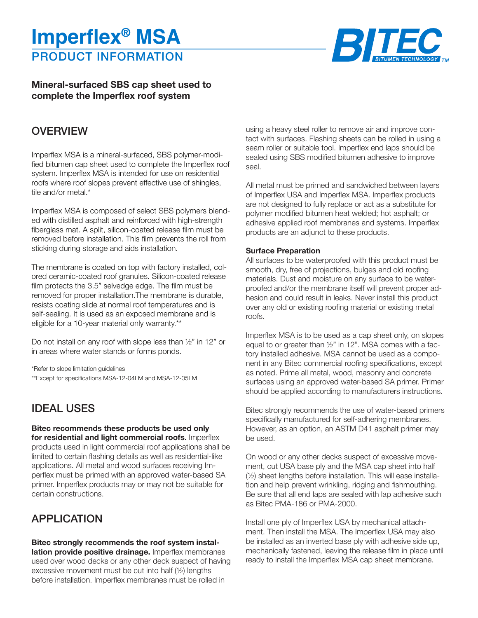# PRODUCT INFORMATION **Imperflex® MSA**



### **Mineral-surfaced SBS cap sheet used to complete the Imperflex roof system**

## **OVERVIEW**

Imperflex MSA is a mineral-surfaced, SBS polymer-modified bitumen cap sheet used to complete the Imperflex roof system. Imperflex MSA is intended for use on residential roofs where roof slopes prevent effective use of shingles, tile and/or metal.\*

Imperflex MSA is composed of select SBS polymers blended with distilled asphalt and reinforced with high-strength fiberglass mat. A split, silicon-coated release film must be removed before installation. This film prevents the roll from sticking during storage and aids installation.

The membrane is coated on top with factory installed, colored ceramic-coated roof granules. Silicon-coated release film protects the 3.5" selvedge edge. The film must be removed for proper installation.The membrane is durable, resists coating slide at normal roof temperatures and is self-sealing. It is used as an exposed membrane and is eligible for a 10-year material only warranty.\*\*

Do not install on any roof with slope less than ½" in 12" or in areas where water stands or forms ponds.

\*Refer to slope limitation guidelines \*\*Except for specifications MSA-12-04LM and MSA-12-05LM

# IDEAL USES

**Bitec recommends these products be used only for residential and light commercial roofs.** Imperflex products used in light commercial roof applications shall be limited to certain flashing details as well as residential-like applications. All metal and wood surfaces receiving Imperflex must be primed with an approved water-based SA primer. Imperflex products may or may not be suitable for certain constructions.

# APPLICATION

### **Bitec strongly recommends the roof system instal-**

**lation provide positive drainage.** Imperflex membranes used over wood decks or any other deck suspect of having excessive movement must be cut into half (½) lengths before installation. Imperflex membranes must be rolled in

using a heavy steel roller to remove air and improve contact with surfaces. Flashing sheets can be rolled in using a seam roller or suitable tool. Imperflex end laps should be sealed using SBS modified bitumen adhesive to improve seal.

All metal must be primed and sandwiched between layers of Imperflex USA and Imperflex MSA. Imperflex products are not designed to fully replace or act as a substitute for polymer modified bitumen heat welded; hot asphalt; or adhesive applied roof membranes and systems. Imperflex products are an adjunct to these products.

#### **Surface Preparation**

All surfaces to be waterproofed with this product must be smooth, dry, free of projections, bulges and old roofing materials. Dust and moisture on any surface to be waterproofed and/or the membrane itself will prevent proper adhesion and could result in leaks. Never install this product over any old or existing roofing material or existing metal roofs.

Imperflex MSA is to be used as a cap sheet only, on slopes equal to or greater than ½" in 12". MSA comes with a factory installed adhesive. MSA cannot be used as a component in any Bitec commercial roofing specifications, except as noted. Prime all metal, wood, masonry and concrete surfaces using an approved water-based SA primer. Primer should be applied according to manufacturers instructions.

Bitec strongly recommends the use of water-based primers specifically manufactured for self-adhering membranes. However, as an option, an ASTM D41 asphalt primer may be used.

On wood or any other decks suspect of excessive movement, cut USA base ply and the MSA cap sheet into half (½) sheet lengths before installation. This will ease installation and help prevent wrinkling, ridging and fishmouthing. Be sure that all end laps are sealed with lap adhesive such as Bitec PMA-186 or PMA-2000.

Install one ply of Imperflex USA by mechanical attachment. Then install the MSA. The Imperflex USA may also be installed as an inverted base ply with adhesive side up, mechanically fastened, leaving the release film in place until ready to install the Imperflex MSA cap sheet membrane.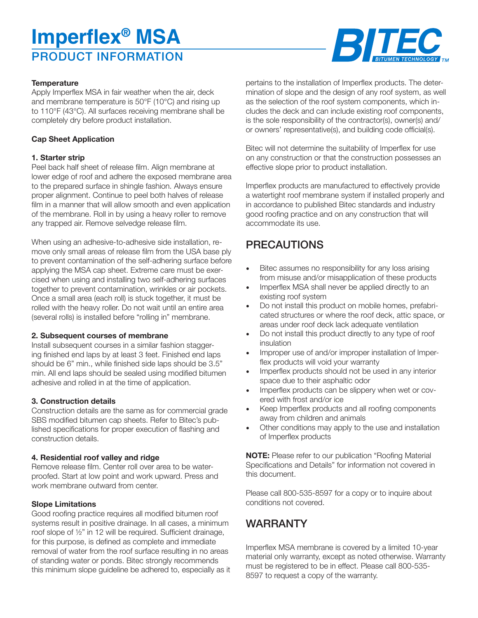# PRODUCT INFORMATION **Imperflex® MSA**



#### **Temperature**

Apply Imperflex MSA in fair weather when the air, deck and membrane temperature is 50°F (10°C) and rising up to 110°F (43°C). All surfaces receiving membrane shall be completely dry before product installation.

#### **Cap Sheet Application**

#### **1. Starter strip**

Peel back half sheet of release film. Align membrane at lower edge of roof and adhere the exposed membrane area to the prepared surface in shingle fashion. Always ensure proper alignment. Continue to peel both halves of release film in a manner that will allow smooth and even application of the membrane. Roll in by using a heavy roller to remove any trapped air. Remove selvedge release film.

When using an adhesive-to-adhesive side installation, remove only small areas of release film from the USA base ply to prevent contamination of the self-adhering surface before applying the MSA cap sheet. Extreme care must be exercised when using and installing two self-adhering surfaces together to prevent contamination, wrinkles or air pockets. Once a small area (each roll) is stuck together, it must be rolled with the heavy roller. Do not wait until an entire area (several rolls) is installed before "rolling in" membrane.

#### **2. Subsequent courses of membrane**

Install subsequent courses in a similar fashion staggering finished end laps by at least 3 feet. Finished end laps should be 6" min., while finished side laps should be 3.5" min. All end laps should be sealed using modified bitumen adhesive and rolled in at the time of application.

#### **3. Construction details**

Construction details are the same as for commercial grade SBS modified bitumen cap sheets. Refer to Bitec's published specifications for proper execution of flashing and construction details.

#### **4. Residential roof valley and ridge**

Remove release film. Center roll over area to be waterproofed. Start at low point and work upward. Press and work membrane outward from center.

#### **Slope Limitations**

Good roofing practice requires all modified bitumen roof systems result in positive drainage. In all cases, a minimum roof slope of ½" in 12 will be required. Sufficient drainage, for this purpose, is defined as complete and immediate removal of water from the roof surface resulting in no areas of standing water or ponds. Bitec strongly recommends this minimum slope guideline be adhered to, especially as it pertains to the installation of Imperflex products. The determination of slope and the design of any roof system, as well as the selection of the roof system components, which includes the deck and can include existing roof components, is the sole responsibility of the contractor(s), owner(s) and/ or owners' representative(s), and building code official(s).

Bitec will not determine the suitability of Imperflex for use on any construction or that the construction possesses an effective slope prior to product installation.

Imperflex products are manufactured to effectively provide a watertight roof membrane system if installed properly and in accordance to published Bitec standards and industry good roofing practice and on any construction that will accommodate its use.

## PRECAUTIONS

- Bitec assumes no responsibility for any loss arising from misuse and/or misapplication of these products
- Imperflex MSA shall never be applied directly to an existing roof system
- Do not install this product on mobile homes, prefabricated structures or where the roof deck, attic space, or areas under roof deck lack adequate ventilation
- Do not install this product directly to any type of roof insulation
- Improper use of and/or improper installation of Imperflex products will void your warranty
- Imperflex products should not be used in any interior space due to their asphaltic odor
- Imperflex products can be slippery when wet or covered with frost and/or ice
- Keep Imperflex products and all roofing components away from children and animals
- Other conditions may apply to the use and installation of Imperflex products

**NOTE:** Please refer to our publication "Roofing Material Specifications and Details" for information not covered in this document.

Please call 800-535-8597 for a copy or to inquire about conditions not covered.

# WARRANTY

Imperflex MSA membrane is covered by a limited 10-year material only warranty, except as noted otherwise. Warranty must be registered to be in effect. Please call 800-535- 8597 to request a copy of the warranty.